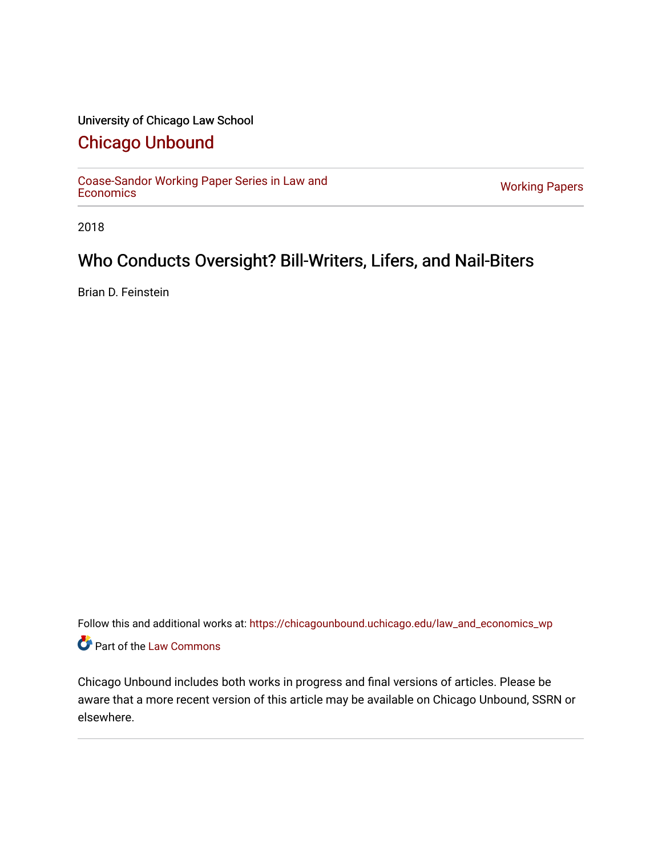## University of Chicago Law School

# [Chicago Unbound](https://chicagounbound.uchicago.edu/)

[Coase-Sandor Working Paper Series in Law and](https://chicagounbound.uchicago.edu/law_and_economics_wp) [Economics](https://chicagounbound.uchicago.edu/law_and_economics_wp) [Working Papers](https://chicagounbound.uchicago.edu/working_papers) 

2018

# Who Conducts Oversight? Bill-Writers, Lifers, and Nail-Biters

Brian D. Feinstein

Follow this and additional works at: [https://chicagounbound.uchicago.edu/law\\_and\\_economics\\_wp](https://chicagounbound.uchicago.edu/law_and_economics_wp?utm_source=chicagounbound.uchicago.edu%2Flaw_and_economics_wp%2F79&utm_medium=PDF&utm_campaign=PDFCoverPages)  Part of the [Law Commons](http://network.bepress.com/hgg/discipline/578?utm_source=chicagounbound.uchicago.edu%2Flaw_and_economics_wp%2F79&utm_medium=PDF&utm_campaign=PDFCoverPages)

Chicago Unbound includes both works in progress and final versions of articles. Please be aware that a more recent version of this article may be available on Chicago Unbound, SSRN or elsewhere.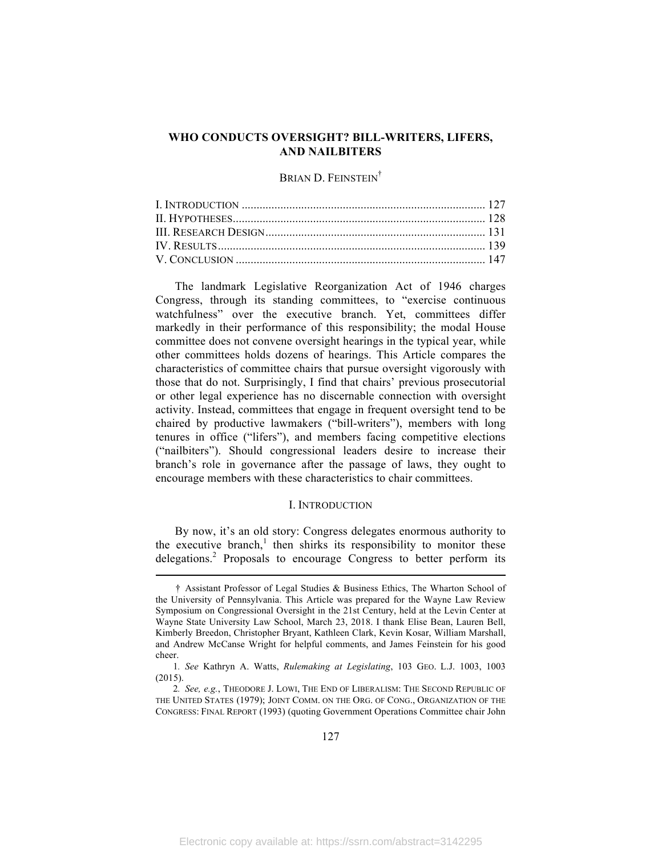#### **WHO CONDUCTS OVERSIGHT? BILL-WRITERS, LIFERS, AND NAILBITERS**

### BRIAN D. FEINSTEIN<sup>†</sup>

The landmark Legislative Reorganization Act of 1946 charges Congress, through its standing committees, to "exercise continuous watchfulness" over the executive branch. Yet, committees differ markedly in their performance of this responsibility; the modal House committee does not convene oversight hearings in the typical year, while other committees holds dozens of hearings. This Article compares the characteristics of committee chairs that pursue oversight vigorously with those that do not. Surprisingly, I find that chairs' previous prosecutorial or other legal experience has no discernable connection with oversight activity. Instead, committees that engage in frequent oversight tend to be chaired by productive lawmakers ("bill-writers"), members with long tenures in office ("lifers"), and members facing competitive elections ("nailbiters"). Should congressional leaders desire to increase their branch's role in governance after the passage of laws, they ought to encourage members with these characteristics to chair committees.

#### I. INTRODUCTION

By now, it's an old story: Congress delegates enormous authority to the executive branch, $<sup>1</sup>$  then shirks its responsibility to monitor these</sup> delegations.<sup>2</sup> Proposals to encourage Congress to better perform its

<sup>†</sup> Assistant Professor of Legal Studies & Business Ethics, The Wharton School of the University of Pennsylvania. This Article was prepared for the Wayne Law Review Symposium on Congressional Oversight in the 21st Century, held at the Levin Center at Wayne State University Law School, March 23, 2018. I thank Elise Bean, Lauren Bell, Kimberly Breedon, Christopher Bryant, Kathleen Clark, Kevin Kosar, William Marshall, and Andrew McCanse Wright for helpful comments, and James Feinstein for his good cheer.

<sup>1</sup>*. See* Kathryn A. Watts, *Rulemaking at Legislating*, 103 GEO. L.J. 1003, 1003 (2015).

<sup>2</sup>*. See, e.g.*, THEODORE J. LOWI, THE END OF LIBERALISM: THE SECOND REPUBLIC OF THE UNITED STATES (1979); JOINT COMM. ON THE ORG. OF CONG., ORGANIZATION OF THE CONGRESS: FINAL REPORT (1993) (quoting Government Operations Committee chair John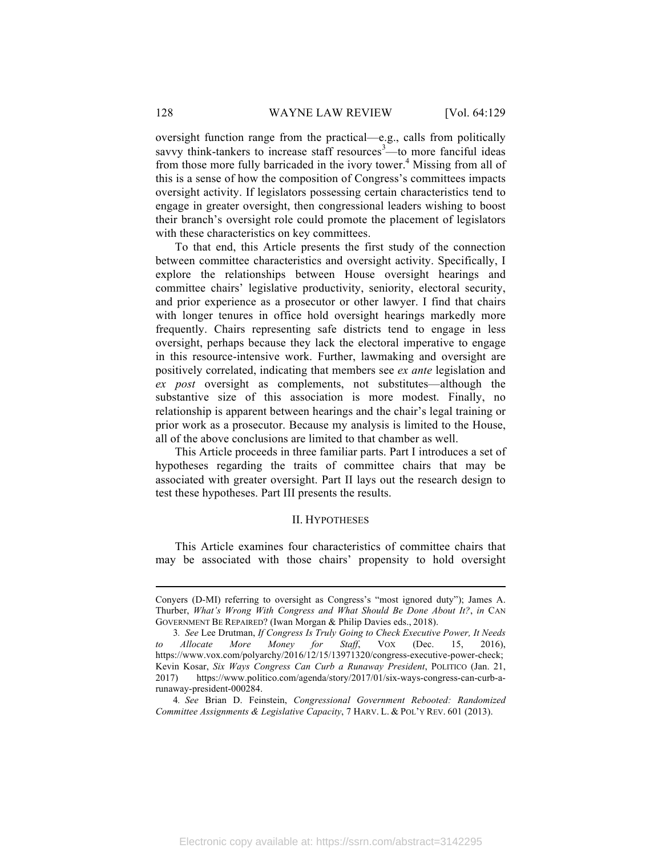oversight function range from the practical—e.g., calls from politically savvy think-tankers to increase staff resources<sup>3</sup>—to more fanciful ideas from those more fully barricaded in the ivory tower.<sup>4</sup> Missing from all of this is a sense of how the composition of Congress's committees impacts oversight activity. If legislators possessing certain characteristics tend to engage in greater oversight, then congressional leaders wishing to boost their branch's oversight role could promote the placement of legislators with these characteristics on key committees.

To that end, this Article presents the first study of the connection between committee characteristics and oversight activity. Specifically, I explore the relationships between House oversight hearings and committee chairs' legislative productivity, seniority, electoral security, and prior experience as a prosecutor or other lawyer. I find that chairs with longer tenures in office hold oversight hearings markedly more frequently. Chairs representing safe districts tend to engage in less oversight, perhaps because they lack the electoral imperative to engage in this resource-intensive work. Further, lawmaking and oversight are positively correlated, indicating that members see *ex ante* legislation and *ex post* oversight as complements, not substitutes—although the substantive size of this association is more modest. Finally, no relationship is apparent between hearings and the chair's legal training or prior work as a prosecutor. Because my analysis is limited to the House, all of the above conclusions are limited to that chamber as well.

This Article proceeds in three familiar parts. Part I introduces a set of hypotheses regarding the traits of committee chairs that may be associated with greater oversight. Part II lays out the research design to test these hypotheses. Part III presents the results.

#### II. HYPOTHESES

This Article examines four characteristics of committee chairs that may be associated with those chairs' propensity to hold oversight

4*. See* Brian D. Feinstein, *Congressional Government Rebooted: Randomized Committee Assignments & Legislative Capacity*, 7 HARV. L. & POL'Y REV. 601 (2013).

Conyers (D-MI) referring to oversight as Congress's "most ignored duty"); James A. Thurber, *What's Wrong With Congress and What Should Be Done About It?*, *in* CAN GOVERNMENT BE REPAIRED? (Iwan Morgan & Philip Davies eds., 2018).

<sup>3</sup>*. See* Lee Drutman, *If Congress Is Truly Going to Check Executive Power, It Needs to Allocate More Money for Staff*, VOX (Dec. 15, 2016), https://www.vox.com/polyarchy/2016/12/15/13971320/congress-executive-power-check; Kevin Kosar, *Six Ways Congress Can Curb a Runaway President*, POLITICO (Jan. 21, 2017) https://www.politico.com/agenda/story/2017/01/six-ways-congress-can-curb-arunaway-president-000284.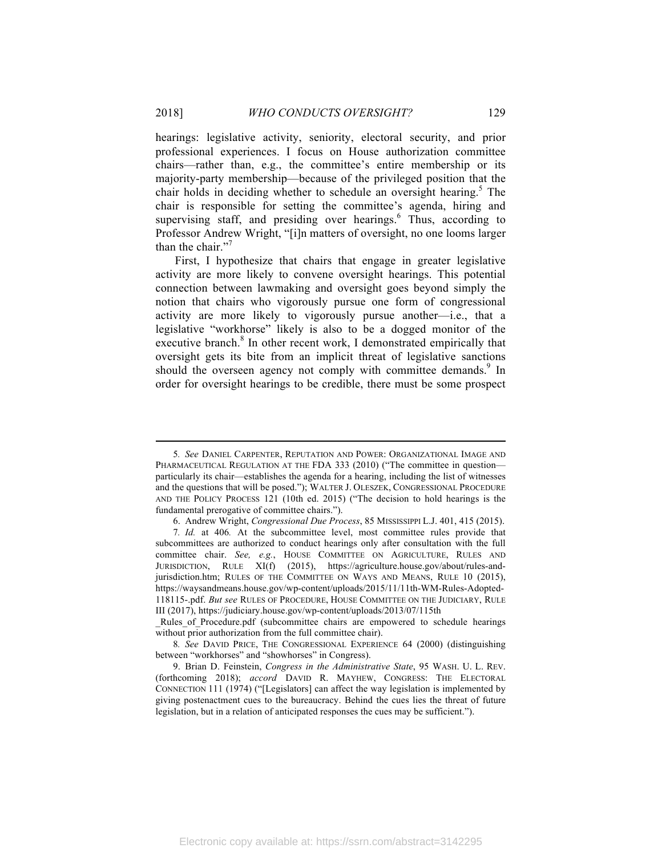hearings: legislative activity, seniority, electoral security, and prior professional experiences. I focus on House authorization committee chairs—rather than, e.g., the committee's entire membership or its majority-party membership—because of the privileged position that the chair holds in deciding whether to schedule an oversight hearing.<sup>5</sup> The chair is responsible for setting the committee's agenda, hiring and supervising staff, and presiding over hearings.<sup>6</sup> Thus, according to Professor Andrew Wright, "[i]n matters of oversight, no one looms larger than the chair."<sup>7</sup>

First, I hypothesize that chairs that engage in greater legislative activity are more likely to convene oversight hearings. This potential connection between lawmaking and oversight goes beyond simply the notion that chairs who vigorously pursue one form of congressional activity are more likely to vigorously pursue another—i.e., that a legislative "workhorse" likely is also to be a dogged monitor of the executive branch.<sup>8</sup> In other recent work, I demonstrated empirically that oversight gets its bite from an implicit threat of legislative sanctions should the overseen agency not comply with committee demands.<sup>9</sup> In order for oversight hearings to be credible, there must be some prospect

<sup>5</sup>*. See* DANIEL CARPENTER, REPUTATION AND POWER: ORGANIZATIONAL IMAGE AND PHARMACEUTICAL REGULATION AT THE FDA 333 (2010) ("The committee in questionparticularly its chair—establishes the agenda for a hearing, including the list of witnesses and the questions that will be posed."); WALTER J. OLESZEK, CONGRESSIONAL PROCEDURE AND THE POLICY PROCESS 121 (10th ed. 2015) ("The decision to hold hearings is the fundamental prerogative of committee chairs.").

<sup>6.</sup> Andrew Wright, *Congressional Due Process*, 85 MISSISSIPPI L.J. 401, 415 (2015).

<sup>7</sup>*. Id.* at 406*.* At the subcommittee level, most committee rules provide that subcommittees are authorized to conduct hearings only after consultation with the full committee chair. *See, e.g.*, HOUSE COMMITTEE ON AGRICULTURE, RULES AND JURISDICTION, RULE XI(f) (2015), https://agriculture.house.gov/about/rules-andjurisdiction.htm; RULES OF THE COMMITTEE ON WAYS AND MEANS, RULE 10 (2015), https://waysandmeans.house.gov/wp-content/uploads/2015/11/11th-WM-Rules-Adopted-118115-.pdf. *But see* RULES OF PROCEDURE, HOUSE COMMITTEE ON THE JUDICIARY, RULE III (2017), https://judiciary.house.gov/wp-content/uploads/2013/07/115th

\_Rules\_of\_Procedure.pdf (subcommittee chairs are empowered to schedule hearings without prior authorization from the full committee chair).

<sup>8</sup>*. See* DAVID PRICE, THE CONGRESSIONAL EXPERIENCE 64 (2000) (distinguishing between "workhorses" and "showhorses" in Congress).

<sup>9.</sup> Brian D. Feinstein, *Congress in the Administrative State*, 95 WASH. U. L. REV. (forthcoming 2018); *accord* DAVID R. MAYHEW, CONGRESS: THE ELECTORAL CONNECTION 111 (1974) ("[Legislators] can affect the way legislation is implemented by giving postenactment cues to the bureaucracy. Behind the cues lies the threat of future legislation, but in a relation of anticipated responses the cues may be sufficient.").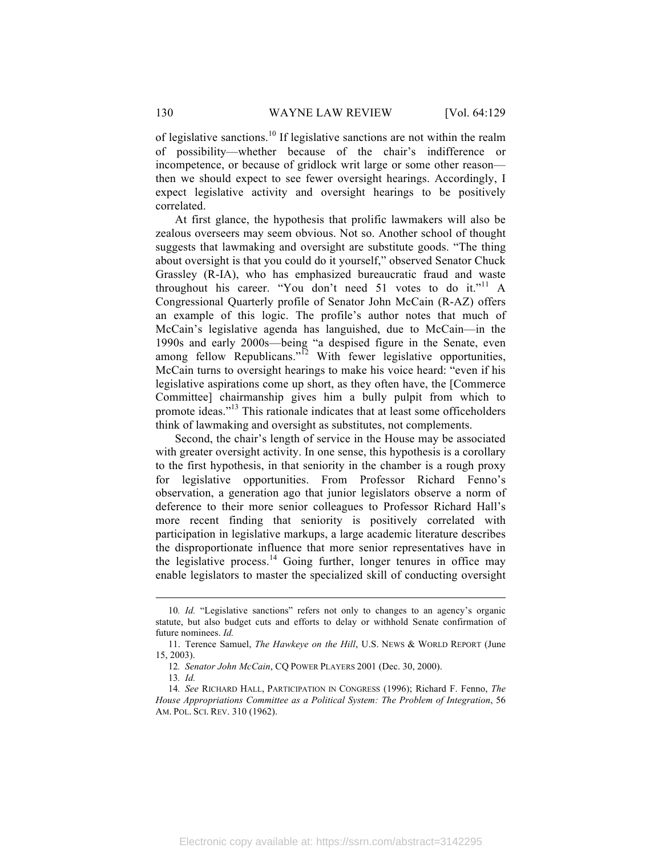of legislative sanctions.<sup>10</sup> If legislative sanctions are not within the realm of possibility—whether because of the chair's indifference or incompetence, or because of gridlock writ large or some other reason then we should expect to see fewer oversight hearings. Accordingly, I expect legislative activity and oversight hearings to be positively correlated.

At first glance, the hypothesis that prolific lawmakers will also be zealous overseers may seem obvious. Not so. Another school of thought suggests that lawmaking and oversight are substitute goods. "The thing about oversight is that you could do it yourself," observed Senator Chuck Grassley (R-IA), who has emphasized bureaucratic fraud and waste throughout his career. "You don't need 51 votes to do it."<sup>11</sup> A Congressional Quarterly profile of Senator John McCain (R-AZ) offers an example of this logic. The profile's author notes that much of McCain's legislative agenda has languished, due to McCain—in the 1990s and early 2000s—being "a despised figure in the Senate, even among fellow Republicans."<sup>12</sup> With fewer legislative opportunities, McCain turns to oversight hearings to make his voice heard: "even if his legislative aspirations come up short, as they often have, the [Commerce Committee] chairmanship gives him a bully pulpit from which to promote ideas."<sup>13</sup> This rationale indicates that at least some officeholders think of lawmaking and oversight as substitutes, not complements.

Second, the chair's length of service in the House may be associated with greater oversight activity. In one sense, this hypothesis is a corollary to the first hypothesis, in that seniority in the chamber is a rough proxy for legislative opportunities. From Professor Richard Fenno's observation, a generation ago that junior legislators observe a norm of deference to their more senior colleagues to Professor Richard Hall's more recent finding that seniority is positively correlated with participation in legislative markups, a large academic literature describes the disproportionate influence that more senior representatives have in the legislative process. $14$  Going further, longer tenures in office may enable legislators to master the specialized skill of conducting oversight

<sup>10</sup>*. Id.* "Legislative sanctions" refers not only to changes to an agency's organic statute, but also budget cuts and efforts to delay or withhold Senate confirmation of future nominees. *Id.*

<sup>11.</sup> Terence Samuel, *The Hawkeye on the Hill*, U.S. NEWS & WORLD REPORT (June 15, 2003).

<sup>12</sup>*. Senator John McCain*, CQ POWER PLAYERS 2001 (Dec. 30, 2000).

<sup>13</sup>*. Id.*

<sup>14</sup>*. See* RICHARD HALL, PARTICIPATION IN CONGRESS (1996); Richard F. Fenno, *The House Appropriations Committee as a Political System: The Problem of Integration*, 56 AM. POL. SCI. REV. 310 (1962).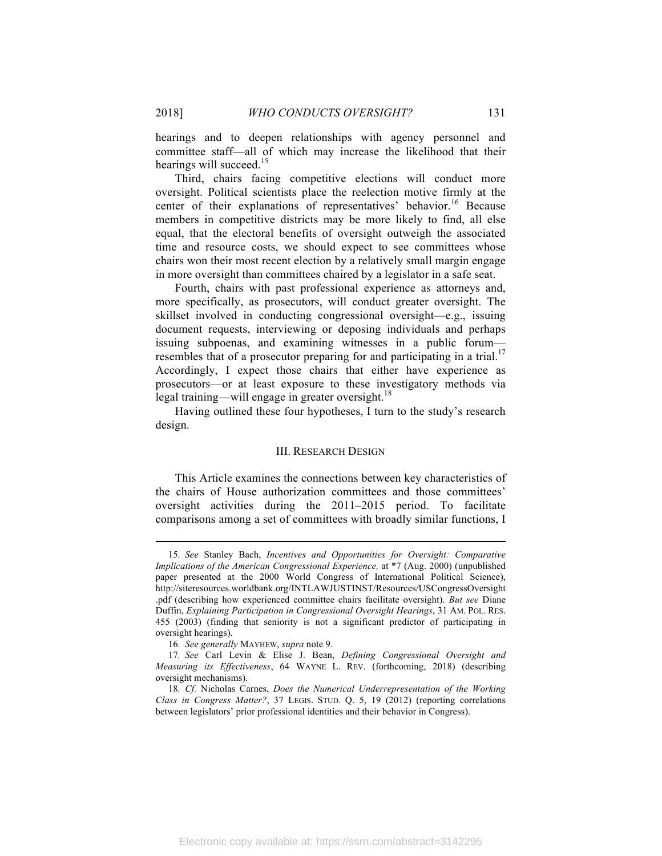hearings and to deepen relationships with agency personnel and committee staff—all of which may increase the likelihood that their hearings will succeed.<sup>15</sup>

Third, chairs facing competitive elections will conduct more oversight. Political scientists place the reelection motive firmly at the center of their explanations of representatives' behavior.<sup>16</sup> Because members in competitive districts may be more likely to find, all else equal, that the electoral benefits of oversight outweigh the associated time and resource costs, we should expect to see committees whose chairs won their most recent election by a relatively small margin engage in more oversight than committees chaired by a legislator in a safe seat.

Fourth, chairs with past professional experience as attorneys and, more specifically, as prosecutors, will conduct greater oversight. The skillset involved in conducting congressional oversight—e.g., issuing document requests, interviewing or deposing individuals and perhaps issuing subpoenas, and examining witnesses in a public forum resembles that of a prosecutor preparing for and participating in a trial.<sup>17</sup> Accordingly, I expect those chairs that either have experience as prosecutors—or at least exposure to these investigatory methods via legal training—will engage in greater oversight.<sup>18</sup>

Having outlined these four hypotheses, I turn to the study's research design.

#### III. RESEARCH DESIGN

This Article examines the connections between key characteristics of the chairs of House authorization committees and those committees' oversight activities during the 2011–2015 period. To facilitate comparisons among a set of committees with broadly similar functions, I

<sup>15</sup>*. See* Stanley Bach, *Incentives and Opportunities for Oversight: Comparative Implications of the American Congressional Experience,* at \*7 (Aug. 2000) (unpublished paper presented at the 2000 World Congress of International Political Science), http://siteresources.worldbank.org/INTLAWJUSTINST/Resources/USCongressOversight .pdf (describing how experienced committee chairs facilitate oversight). *But see* Diane Duffin, *Explaining Participation in Congressional Oversight Hearings*, 31 AM. POL. RES. 455 (2003) (finding that seniority is not a significant predictor of participating in oversight hearings).

<sup>16</sup>*. See generally* MAYHEW, *supra* note 9.

<sup>17</sup>*. See* Carl Levin & Elise J. Bean, *Defining Congressional Oversight and Measuring its Effectiveness*, 64 WAYNE L. REV. (forthcoming, 2018) (describing oversight mechanisms).

<sup>18</sup>*. Cf.* Nicholas Carnes, *Does the Numerical Underrepresentation of the Working Class in Congress Matter?*, 37 LEGIS. STUD. Q. 5, 19 (2012) (reporting correlations between legislators' prior professional identities and their behavior in Congress).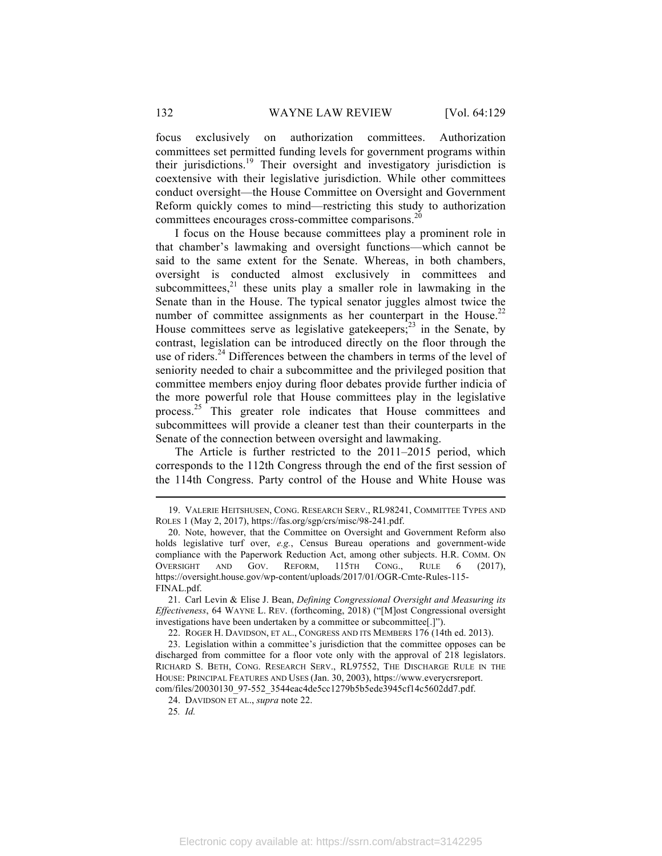focus exclusively on authorization committees. Authorization committees set permitted funding levels for government programs within their jurisdictions.19 Their oversight and investigatory jurisdiction is coextensive with their legislative jurisdiction. While other committees conduct oversight—the House Committee on Oversight and Government Reform quickly comes to mind—restricting this study to authorization committees encourages cross-committee comparisons.<sup>20</sup>

I focus on the House because committees play a prominent role in that chamber's lawmaking and oversight functions—which cannot be said to the same extent for the Senate. Whereas, in both chambers, oversight is conducted almost exclusively in committees and subcommittees, $2<sup>1</sup>$  these units play a smaller role in lawmaking in the Senate than in the House. The typical senator juggles almost twice the number of committee assignments as her counterpart in the House.<sup>22</sup> House committees serve as legislative gatekeepers; $^{23}$  in the Senate, by contrast, legislation can be introduced directly on the floor through the use of riders.<sup>24</sup> Differences between the chambers in terms of the level of seniority needed to chair a subcommittee and the privileged position that committee members enjoy during floor debates provide further indicia of the more powerful role that House committees play in the legislative process.<sup>25</sup> This greater role indicates that House committees and subcommittees will provide a cleaner test than their counterparts in the Senate of the connection between oversight and lawmaking.

The Article is further restricted to the 2011–2015 period, which corresponds to the 112th Congress through the end of the first session of the 114th Congress. Party control of the House and White House was

22. ROGER H. DAVIDSON, ET AL., CONGRESS AND ITS MEMBERS 176 (14th ed. 2013).

25*. Id.*

<sup>19.</sup> VALERIE HEITSHUSEN, CONG. RESEARCH SERV., RL98241, COMMITTEE TYPES AND ROLES 1 (May 2, 2017), https://fas.org/sgp/crs/misc/98-241.pdf.

<sup>20.</sup> Note, however, that the Committee on Oversight and Government Reform also holds legislative turf over, *e.g.*, Census Bureau operations and government-wide compliance with the Paperwork Reduction Act, among other subjects. H.R. COMM. ON OVERSIGHT AND GOV. REFORM, 115TH CONG., RULE 6 (2017), https://oversight.house.gov/wp-content/uploads/2017/01/OGR-Cmte-Rules-115- FINAL.pdf.

<sup>21.</sup> Carl Levin & Elise J. Bean, *Defining Congressional Oversight and Measuring its Effectiveness*, 64 WAYNE L. REV. (forthcoming, 2018) ("[M]ost Congressional oversight investigations have been undertaken by a committee or subcommittee.[1]").

<sup>23.</sup> Legislation within a committee's jurisdiction that the committee opposes can be discharged from committee for a floor vote only with the approval of 218 legislators. RICHARD S. BETH, CONG. RESEARCH SERV., RL97552, THE DISCHARGE RULE IN THE HOUSE: PRINCIPAL FEATURES AND USES (Jan. 30, 2003), https://www.everycrsreport. com/files/20030130\_97-552\_3544eac4de5cc1279b5b5ede3945cf14c5602dd7.pdf.

<sup>24.</sup> DAVIDSON ET AL., *supra* note 22.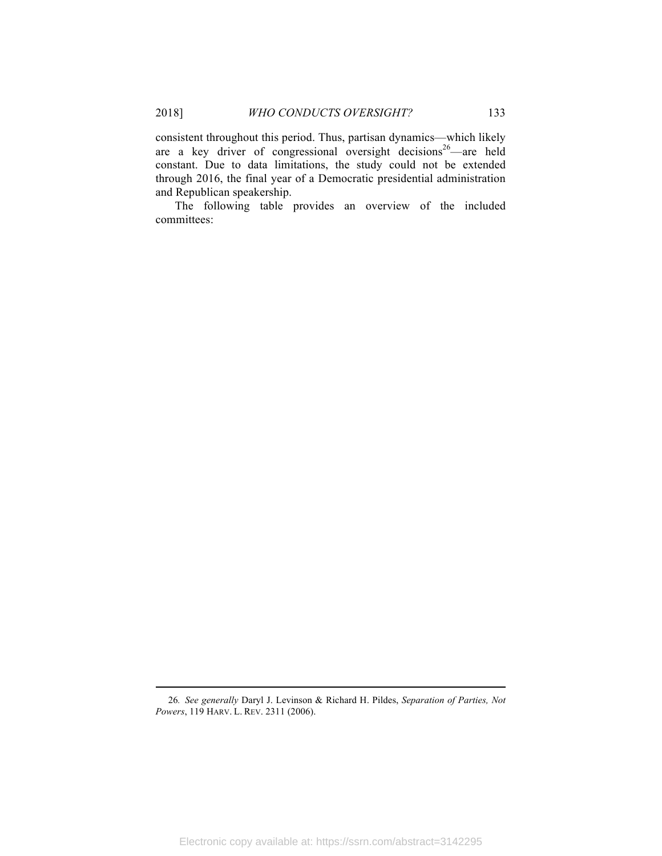consistent throughout this period. Thus, partisan dynamics—which likely are a key driver of congressional oversight decisions<sup>26</sup>—are held constant. Due to data limitations, the study could not be extended through 2016, the final year of a Democratic presidential administration and Republican speakership.

The following table provides an overview of the included committees:

<sup>26</sup>*. See generally* Daryl J. Levinson & Richard H. Pildes, *Separation of Parties, Not Powers*, 119 HARV. L. REV. 2311 (2006).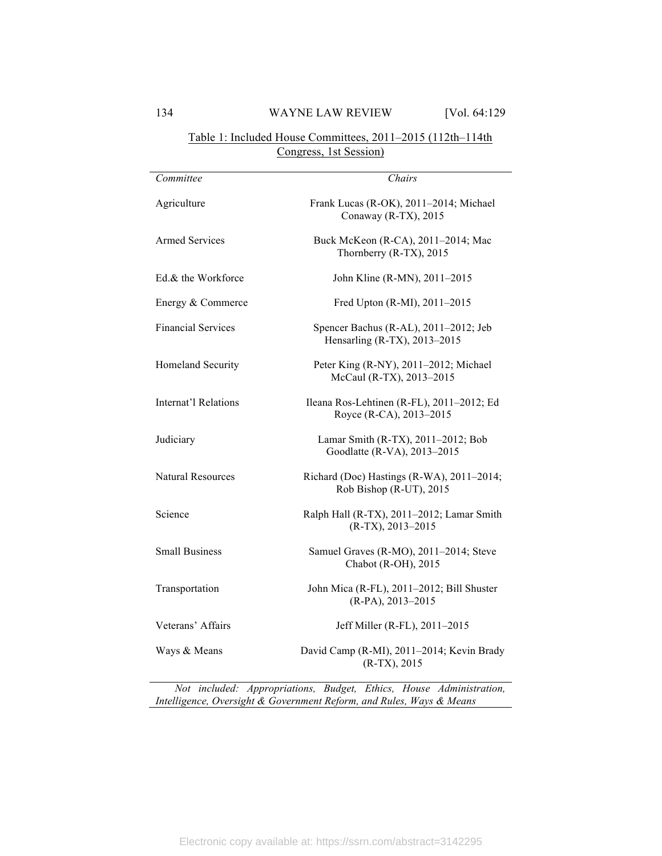## Table 1: Included House Committees, 2011–2015 (112th–114th Congress, 1st Session)

| Committee                 | Chairs                                                                |
|---------------------------|-----------------------------------------------------------------------|
| Agriculture               | Frank Lucas (R-OK), 2011-2014; Michael<br>Conaway (R-TX), 2015        |
| <b>Armed Services</b>     | Buck McKeon (R-CA), 2011-2014; Mac<br>Thornberry (R-TX), 2015         |
| Ed & the Workforce        | John Kline (R-MN), 2011-2015                                          |
| Energy & Commerce         | Fred Upton (R-MI), 2011-2015                                          |
| <b>Financial Services</b> | Spencer Bachus (R-AL), 2011-2012; Jeb<br>Hensarling (R-TX), 2013-2015 |
| Homeland Security         | Peter King (R-NY), 2011-2012; Michael<br>McCaul (R-TX), 2013-2015     |
| Internat'l Relations      | Ileana Ros-Lehtinen (R-FL), 2011-2012; Ed<br>Royce (R-CA), 2013-2015  |
| Judiciary                 | Lamar Smith (R-TX), 2011-2012; Bob<br>Goodlatte (R-VA), 2013-2015     |
| <b>Natural Resources</b>  | Richard (Doc) Hastings (R-WA), 2011-2014;<br>Rob Bishop (R-UT), 2015  |
| Science                   | Ralph Hall (R-TX), 2011-2012; Lamar Smith<br>$(R-TX), 2013 - 2015$    |
| <b>Small Business</b>     | Samuel Graves (R-MO), 2011-2014; Steve<br>Chabot (R-OH), 2015         |
| Transportation            | John Mica (R-FL), 2011-2012; Bill Shuster<br>$(R-PA)$ , 2013-2015     |
| Veterans' Affairs         | Jeff Miller (R-FL), 2011-2015                                         |
| Ways & Means              | David Camp (R-MI), 2011-2014; Kevin Brady<br>$(R-TX), 2015$           |

*Not included: Appropriations, Budget, Ethics, House Administration, Intelligence, Oversight & Government Reform, and Rules, Ways & Means*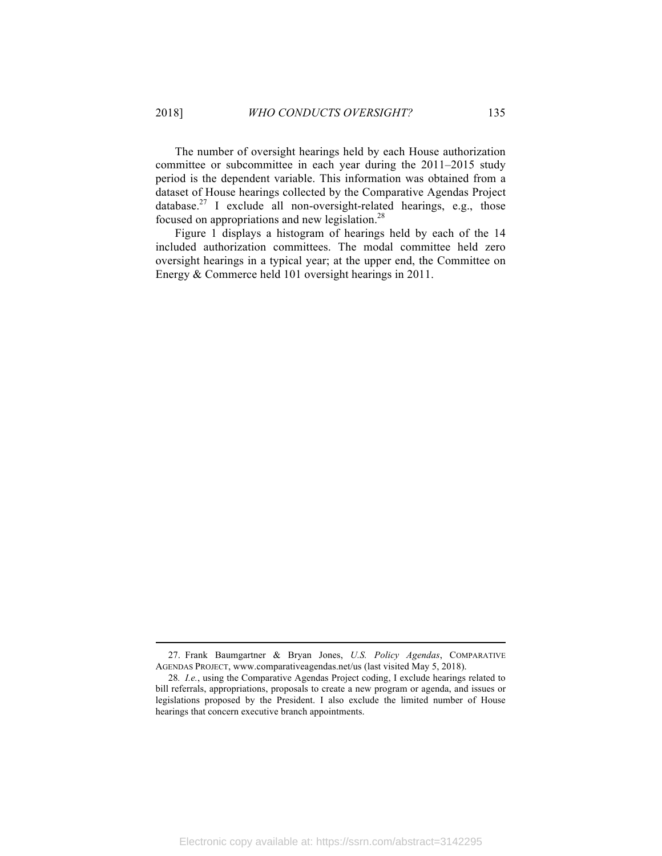The number of oversight hearings held by each House authorization committee or subcommittee in each year during the 2011–2015 study period is the dependent variable. This information was obtained from a dataset of House hearings collected by the Comparative Agendas Project database.<sup>27</sup> I exclude all non-oversight-related hearings, e.g., those focused on appropriations and new legislation.28

Figure 1 displays a histogram of hearings held by each of the 14 included authorization committees. The modal committee held zero oversight hearings in a typical year; at the upper end, the Committee on Energy & Commerce held 101 oversight hearings in 2011.

<sup>27.</sup> Frank Baumgartner & Bryan Jones, *U.S. Policy Agendas*, COMPARATIVE AGENDAS PROJECT, www.comparativeagendas.net/us (last visited May 5, 2018).

<sup>28</sup>*. I.e.*, using the Comparative Agendas Project coding, I exclude hearings related to bill referrals, appropriations, proposals to create a new program or agenda, and issues or legislations proposed by the President. I also exclude the limited number of House hearings that concern executive branch appointments.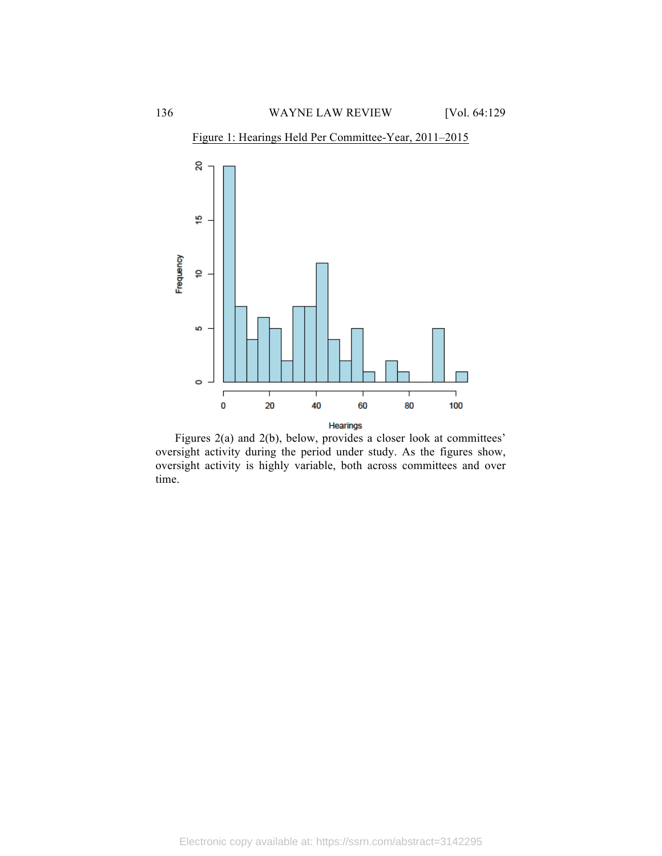

Figure 1: Hearings Held Per Committee-Year, 2011–2015

Figures 2(a) and 2(b), below, provides a closer look at committees' oversight activity during the period under study. As the figures show, oversight activity is highly variable, both across committees and over time.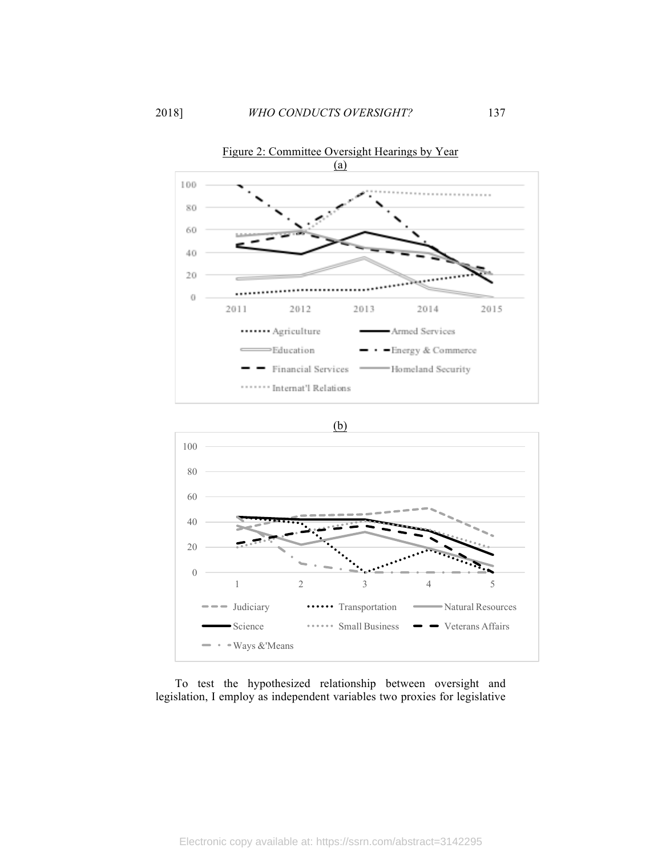





To test the hypothesized relationship between oversight and legislation, I employ as independent variables two proxies for legislative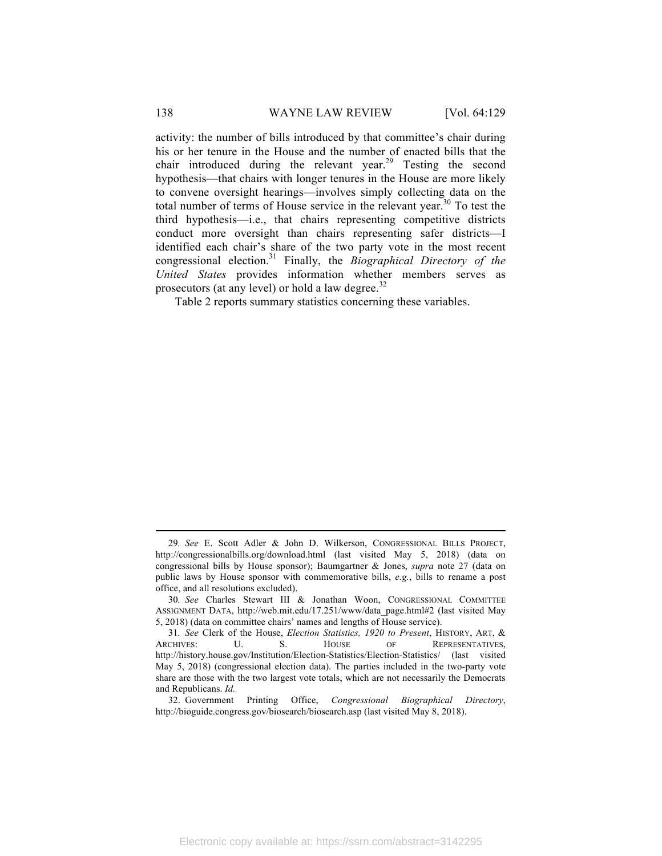activity: the number of bills introduced by that committee's chair during his or her tenure in the House and the number of enacted bills that the chair introduced during the relevant year.<sup>29</sup> Testing the second hypothesis—that chairs with longer tenures in the House are more likely to convene oversight hearings—involves simply collecting data on the total number of terms of House service in the relevant year.<sup>30</sup> To test the third hypothesis—i.e., that chairs representing competitive districts conduct more oversight than chairs representing safer districts—I identified each chair's share of the two party vote in the most recent congressional election.31 Finally, the *Biographical Directory of the United States* provides information whether members serves as prosecutors (at any level) or hold a law degree. $32$ 

Table 2 reports summary statistics concerning these variables.

<sup>29</sup>*. See* E. Scott Adler & John D. Wilkerson, CONGRESSIONAL BILLS PROJECT, http://congressionalbills.org/download.html (last visited May 5, 2018) (data on congressional bills by House sponsor); Baumgartner & Jones, *supra* note 27 (data on public laws by House sponsor with commemorative bills, *e.g.*, bills to rename a post office, and all resolutions excluded).

<sup>30</sup>*. See* Charles Stewart III & Jonathan Woon, CONGRESSIONAL COMMITTEE ASSIGNMENT DATA, http://web.mit.edu/17.251/www/data\_page.html#2 (last visited May 5, 2018) (data on committee chairs' names and lengths of House service).

<sup>31</sup>*. See* Clerk of the House, *Election Statistics, 1920 to Present*, HISTORY, ART, & ARCHIVES: U. S. HOUSE OF REPRESENTATIVES, http://history.house.gov/Institution/Election-Statistics/Election-Statistics/ (last visited May 5, 2018) (congressional election data). The parties included in the two-party vote share are those with the two largest vote totals, which are not necessarily the Democrats and Republicans. *Id.*

<sup>32.</sup> Government Printing Office, *Congressional Biographical Directory*, http://bioguide.congress.gov/biosearch/biosearch.asp (last visited May 8, 2018).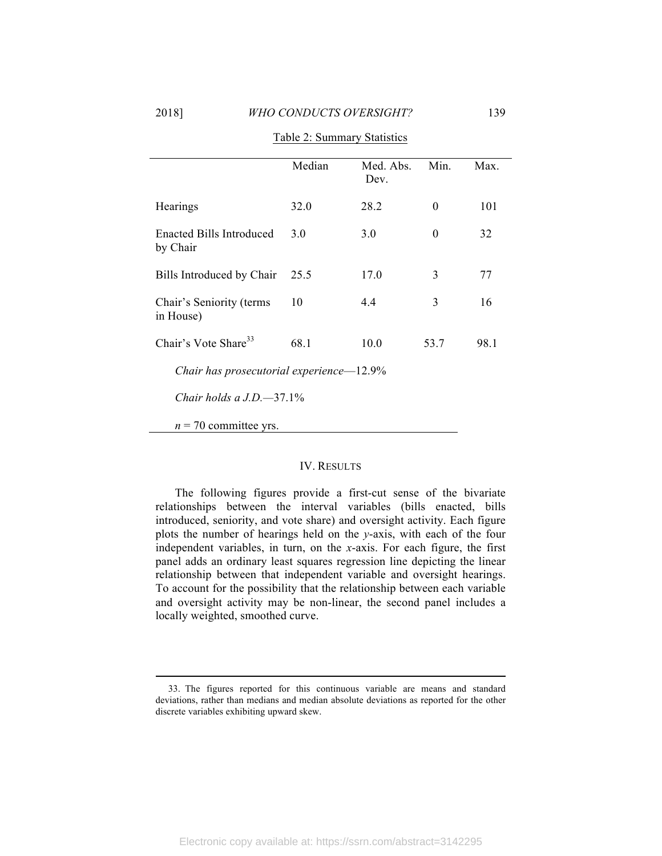|                                             | Median | Med. Abs.<br>Dev. | Min.     | Max. |  |
|---------------------------------------------|--------|-------------------|----------|------|--|
| Hearings                                    | 32.0   | 28.2              | $\theta$ | 101  |  |
| <b>Enacted Bills Introduced</b><br>by Chair | 3.0    | 3.0               | 0        | 32   |  |
| Bills Introduced by Chair                   | 25.5   | 17.0              | 3        | 77   |  |
| Chair's Seniority (terms)<br>in House)      | 10     | 4.4               | 3        | 16   |  |
| Chair's Vote Share <sup>33</sup>            | 68 1   | 10.0              | 53.7     | 98.1 |  |
| Chair has prosecutorial experience—12.9%    |        |                   |          |      |  |
| Chair holds a $J.D. -37.1\%$                |        |                   |          |      |  |
| $n = 70$ committee yrs.                     |        |                   |          |      |  |

Table 2: Summary Statistics

#### IV. RESULTS

The following figures provide a first-cut sense of the bivariate relationships between the interval variables (bills enacted, bills introduced, seniority, and vote share) and oversight activity. Each figure plots the number of hearings held on the *y*-axis, with each of the four independent variables, in turn, on the *x*-axis. For each figure, the first panel adds an ordinary least squares regression line depicting the linear relationship between that independent variable and oversight hearings. To account for the possibility that the relationship between each variable and oversight activity may be non-linear, the second panel includes a locally weighted, smoothed curve.

<sup>33.</sup> The figures reported for this continuous variable are means and standard deviations, rather than medians and median absolute deviations as reported for the other discrete variables exhibiting upward skew.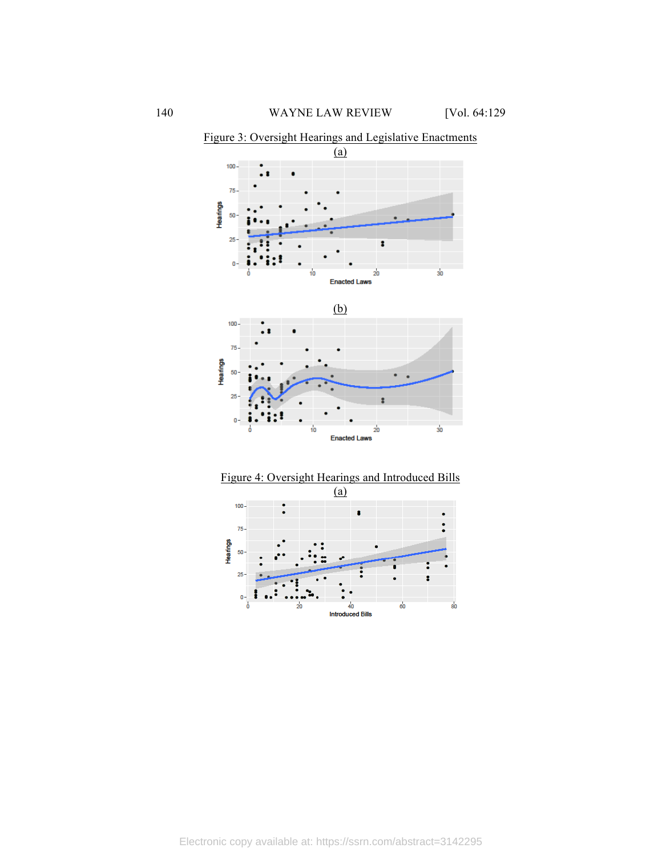

Figure 3: Oversight Hearings and Legislative Enactments



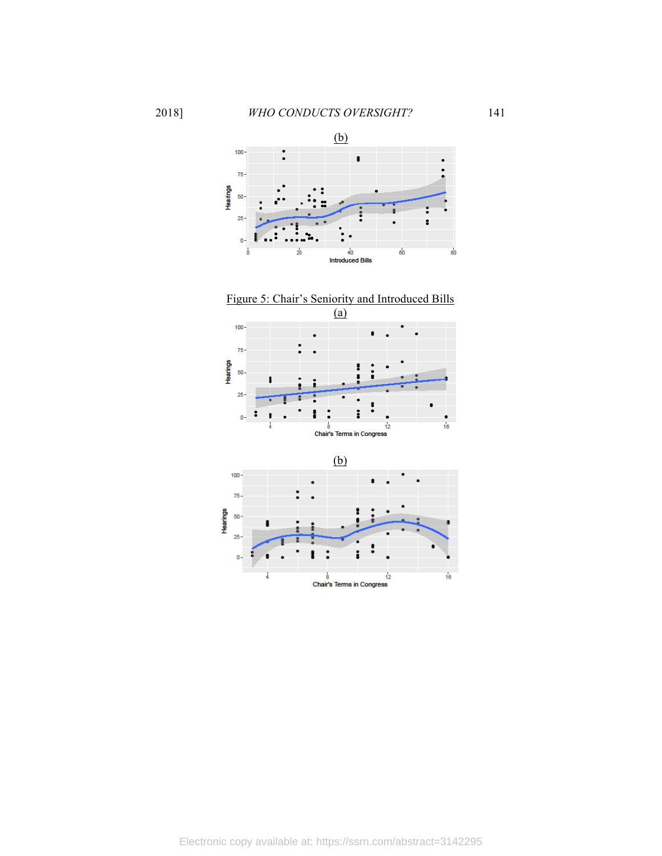

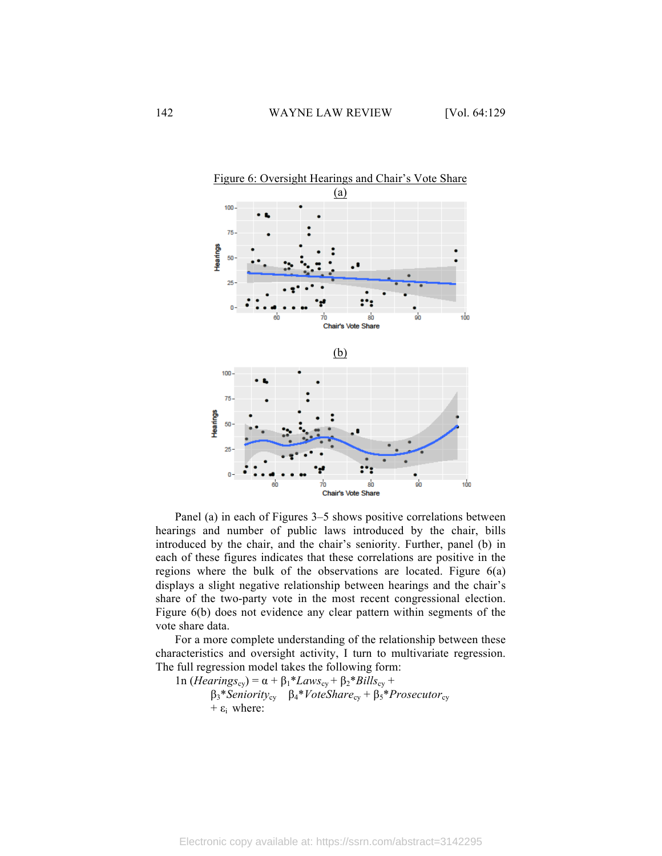

Panel (a) in each of Figures 3–5 shows positive correlations between hearings and number of public laws introduced by the chair, bills introduced by the chair, and the chair's seniority. Further, panel (b) in each of these figures indicates that these correlations are positive in the regions where the bulk of the observations are located. Figure 6(a) displays a slight negative relationship between hearings and the chair's share of the two-party vote in the most recent congressional election. Figure 6(b) does not evidence any clear pattern within segments of the vote share data.

For a more complete understanding of the relationship between these characteristics and oversight activity, I turn to multivariate regression. The full regression model takes the following form:

1n (*Hearings*<sub>cy</sub>) = α +  $β_1 * Laws_{cy} + β_2 * Bills_{cy}$  + β3\**Seniority*cy β4\**VoteShare*cy + β5\**Prosecutor*cy  $+ \varepsilon_i$  where: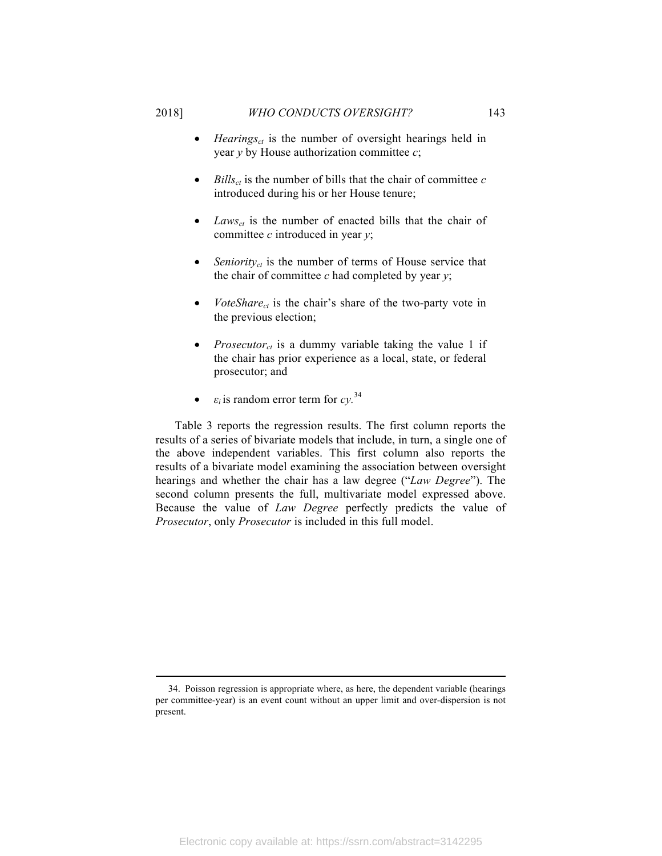- *Hearings<sub>ct</sub>* is the number of oversight hearings held in year *y* by House authorization committee *c*;
- $Bills_{ct}$  is the number of bills that the chair of committee  $c$ introduced during his or her House tenure;
- $Laws_{ct}$  is the number of enacted bills that the chair of committee *c* introduced in year *y*;
- Seniority<sub>ct</sub> is the number of terms of House service that the chair of committee *c* had completed by year *y*;
- $VoteShare_{ct}$  is the chair's share of the two-party vote in the previous election;
- *Prosecutor<sub>ct</sub>* is a dummy variable taking the value 1 if the chair has prior experience as a local, state, or federal prosecutor; and
- $\varepsilon_i$  is random error term for  $cy$ .<sup>34</sup>

Table 3 reports the regression results. The first column reports the results of a series of bivariate models that include, in turn, a single one of the above independent variables. This first column also reports the results of a bivariate model examining the association between oversight hearings and whether the chair has a law degree ("*Law Degree*"). The second column presents the full, multivariate model expressed above. Because the value of *Law Degree* perfectly predicts the value of *Prosecutor*, only *Prosecutor* is included in this full model.

<sup>34.</sup> Poisson regression is appropriate where, as here, the dependent variable (hearings per committee-year) is an event count without an upper limit and over-dispersion is not present.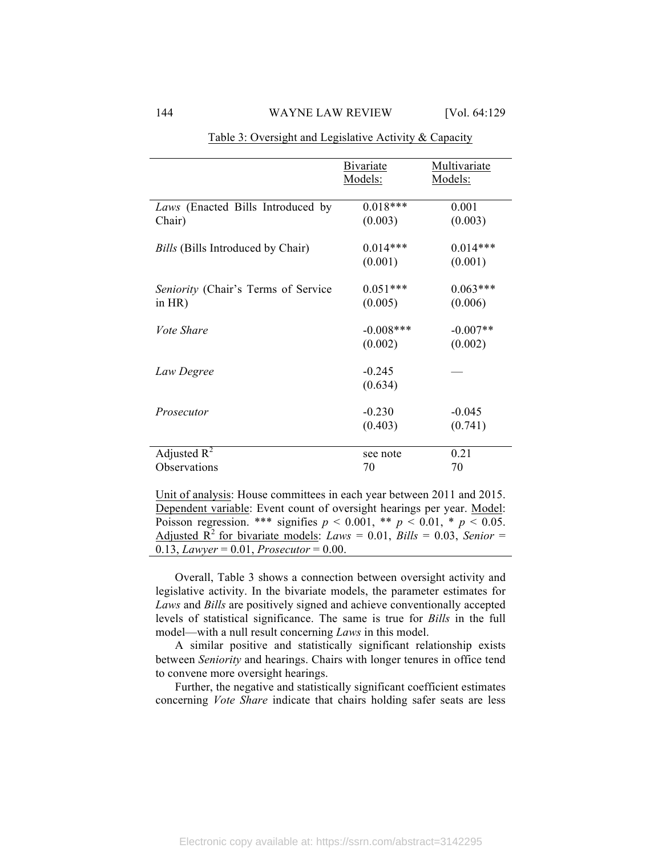### 144 WAYNE LAW REVIEW [Vol. 64:129]

|                                                  | <b>Bivariate</b>       | Multivariate          |
|--------------------------------------------------|------------------------|-----------------------|
|                                                  | Models:                | Models:               |
| Laws (Enacted Bills Introduced by                | $0.018***$             | 0.001                 |
| Chair)                                           | (0.003)                | (0.003)               |
| <i>Bills</i> (Bills Introduced by Chair)         | $0.014***$             | $0.014***$            |
|                                                  | (0.001)                | (0.001)               |
|                                                  |                        | $0.063***$            |
| Seniority (Chair's Terms of Service<br>in $HR$ ) | $0.051***$<br>(0.005)  | (0.006)               |
|                                                  |                        |                       |
| <i>Vote Share</i>                                | $-0.008***$<br>(0.002) | $-0.007**$<br>(0.002) |
|                                                  |                        |                       |
| Law Degree                                       | $-0.245$               |                       |
|                                                  | (0.634)                |                       |
| Prosecutor                                       | $-0.230$               | $-0.045$              |
|                                                  | (0.403)                | (0.741)               |
| Adjusted $R^2$                                   |                        | 0.21                  |
| Observations                                     | see note<br>70         | 70                    |
|                                                  |                        |                       |

Table 3: Oversight and Legislative Activity & Capacity

Unit of analysis: House committees in each year between 2011 and 2015. Dependent variable: Event count of oversight hearings per year. Model: Poisson regression. \*\*\* signifies  $p < 0.001$ , \*\*  $p < 0.01$ , \*  $p < 0.05$ . Adjusted  $\overline{R}^2$  for bivariate models: *Laws* = 0.01, *Bills* = 0.03, *Senior* = 0.13, *Lawyer* = 0.01, *Prosecutor* = 0.00.

Overall, Table 3 shows a connection between oversight activity and legislative activity. In the bivariate models, the parameter estimates for *Laws* and *Bills* are positively signed and achieve conventionally accepted levels of statistical significance. The same is true for *Bills* in the full model—with a null result concerning *Laws* in this model.

A similar positive and statistically significant relationship exists between *Seniority* and hearings. Chairs with longer tenures in office tend to convene more oversight hearings.

Further, the negative and statistically significant coefficient estimates concerning *Vote Share* indicate that chairs holding safer seats are less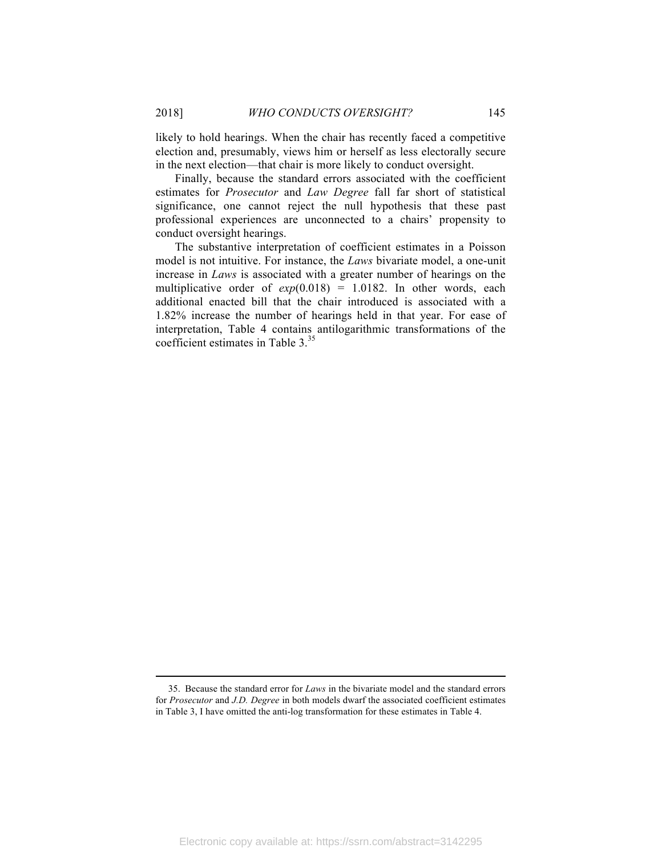likely to hold hearings. When the chair has recently faced a competitive election and, presumably, views him or herself as less electorally secure in the next election—that chair is more likely to conduct oversight.

Finally, because the standard errors associated with the coefficient estimates for *Prosecutor* and *Law Degree* fall far short of statistical significance, one cannot reject the null hypothesis that these past professional experiences are unconnected to a chairs' propensity to conduct oversight hearings.

The substantive interpretation of coefficient estimates in a Poisson model is not intuitive. For instance, the *Laws* bivariate model, a one-unit increase in *Laws* is associated with a greater number of hearings on the multiplicative order of  $exp(0.018) = 1.0182$ . In other words, each additional enacted bill that the chair introduced is associated with a 1.82% increase the number of hearings held in that year. For ease of interpretation, Table 4 contains antilogarithmic transformations of the coefficient estimates in Table 3.<sup>35</sup>

<sup>35.</sup> Because the standard error for *Laws* in the bivariate model and the standard errors for *Prosecutor* and *J.D. Degree* in both models dwarf the associated coefficient estimates in Table 3, I have omitted the anti-log transformation for these estimates in Table 4.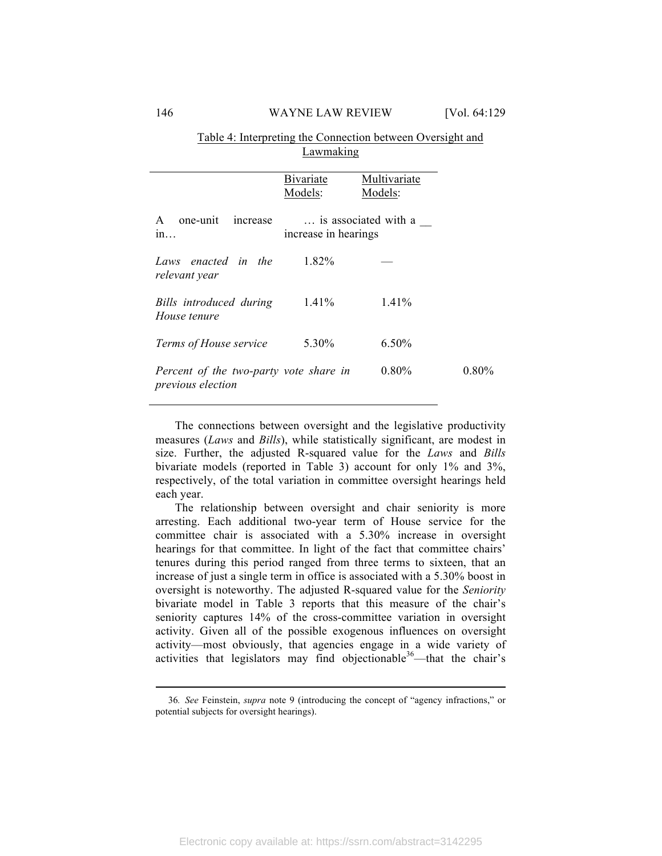## Table 4: Interpreting the Connection between Oversight and Lawmaking

|                                                             | <b>B</b> ivariate<br>Models: | Multivariate<br>Models: |          |
|-------------------------------------------------------------|------------------------------|-------------------------|----------|
| one-unit<br>increase<br>A<br>1n                             | increase in hearings         | is associated with a    |          |
| Laws enacted in the<br>relevant year                        | 1.82%                        |                         |          |
| Bills introduced during<br>House tenure                     | 1.41%                        | 1.41%                   |          |
| Terms of House service                                      | 5.30%                        | $6.50\%$                |          |
| Percent of the two-party vote share in<br>previous election |                              | $0.80\%$                | $0.80\%$ |

The connections between oversight and the legislative productivity measures (*Laws* and *Bills*), while statistically significant, are modest in size. Further, the adjusted R-squared value for the *Laws* and *Bills*  bivariate models (reported in Table 3) account for only 1% and 3%, respectively, of the total variation in committee oversight hearings held each year.

The relationship between oversight and chair seniority is more arresting. Each additional two-year term of House service for the committee chair is associated with a 5.30% increase in oversight hearings for that committee. In light of the fact that committee chairs' tenures during this period ranged from three terms to sixteen, that an increase of just a single term in office is associated with a 5.30% boost in oversight is noteworthy. The adjusted R-squared value for the *Seniority*  bivariate model in Table 3 reports that this measure of the chair's seniority captures 14% of the cross-committee variation in oversight activity. Given all of the possible exogenous influences on oversight activity—most obviously, that agencies engage in a wide variety of activities that legislators may find objectionable  $36$ —that the chair's

<sup>36</sup>*. See* Feinstein, *supra* note 9 (introducing the concept of "agency infractions," or potential subjects for oversight hearings).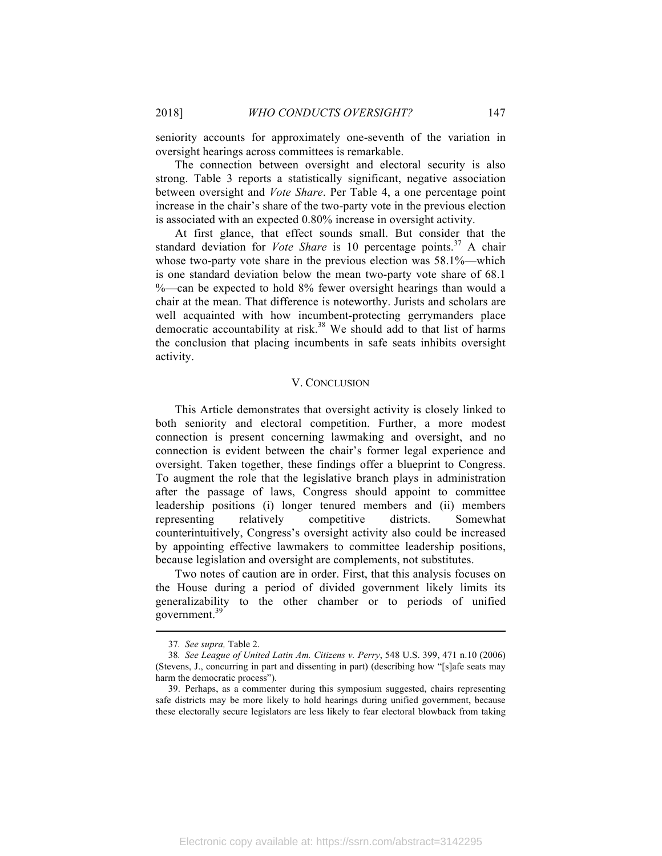seniority accounts for approximately one-seventh of the variation in oversight hearings across committees is remarkable.

The connection between oversight and electoral security is also strong. Table 3 reports a statistically significant, negative association between oversight and *Vote Share*. Per Table 4, a one percentage point increase in the chair's share of the two-party vote in the previous election is associated with an expected 0.80% increase in oversight activity.

At first glance, that effect sounds small. But consider that the standard deviation for *Vote Share* is 10 percentage points.<sup>37</sup> A chair whose two-party vote share in the previous election was 58.1%—which is one standard deviation below the mean two-party vote share of 68.1 %—can be expected to hold 8% fewer oversight hearings than would a chair at the mean. That difference is noteworthy. Jurists and scholars are well acquainted with how incumbent-protecting gerrymanders place democratic accountability at risk.<sup>38</sup> We should add to that list of harms the conclusion that placing incumbents in safe seats inhibits oversight activity.

#### V. CONCLUSION

This Article demonstrates that oversight activity is closely linked to both seniority and electoral competition. Further, a more modest connection is present concerning lawmaking and oversight, and no connection is evident between the chair's former legal experience and oversight. Taken together, these findings offer a blueprint to Congress. To augment the role that the legislative branch plays in administration after the passage of laws, Congress should appoint to committee leadership positions (i) longer tenured members and (ii) members representing relatively competitive districts. Somewhat counterintuitively, Congress's oversight activity also could be increased by appointing effective lawmakers to committee leadership positions, because legislation and oversight are complements, not substitutes.

Two notes of caution are in order. First, that this analysis focuses on the House during a period of divided government likely limits its generalizability to the other chamber or to periods of unified government.39

<sup>37</sup>*. See supra,* Table 2.

<sup>38</sup>*. See League of United Latin Am. Citizens v. Perry*, 548 U.S. 399, 471 n.10 (2006) (Stevens, J., concurring in part and dissenting in part) (describing how "[s]afe seats may harm the democratic process").

<sup>39.</sup> Perhaps, as a commenter during this symposium suggested, chairs representing safe districts may be more likely to hold hearings during unified government, because these electorally secure legislators are less likely to fear electoral blowback from taking